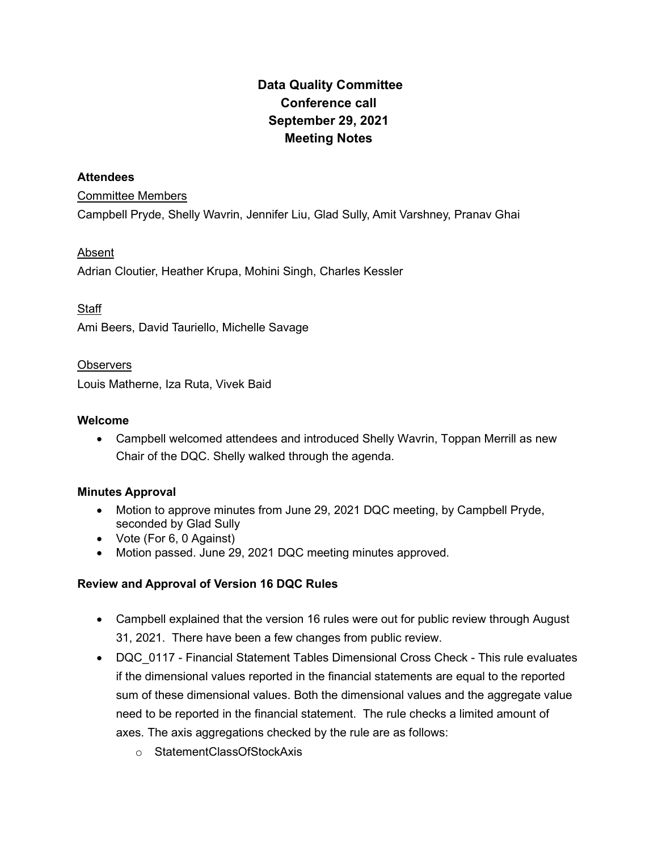# Data Quality Committee Conference call September 29, 2021 Meeting Notes

#### **Attendees**

#### Committee Members

Campbell Pryde, Shelly Wavrin, Jennifer Liu, Glad Sully, Amit Varshney, Pranav Ghai

## Absent

Adrian Cloutier, Heather Krupa, Mohini Singh, Charles Kessler

### **Staff**

Ami Beers, David Tauriello, Michelle Savage

### **Observers**

Louis Matherne, Iza Ruta, Vivek Baid

### Welcome

 Campbell welcomed attendees and introduced Shelly Wavrin, Toppan Merrill as new Chair of the DQC. Shelly walked through the agenda.

## Minutes Approval

- Motion to approve minutes from June 29, 2021 DQC meeting, by Campbell Pryde, seconded by Glad Sully
- Vote (For 6, 0 Against)
- Motion passed. June 29, 2021 DQC meeting minutes approved.

## Review and Approval of Version 16 DQC Rules

- Campbell explained that the version 16 rules were out for public review through August 31, 2021. There have been a few changes from public review.
- DQC 0117 Financial Statement Tables Dimensional Cross Check This rule evaluates if the dimensional values reported in the financial statements are equal to the reported sum of these dimensional values. Both the dimensional values and the aggregate value need to be reported in the financial statement. The rule checks a limited amount of axes. The axis aggregations checked by the rule are as follows:
	- o StatementClassOfStockAxis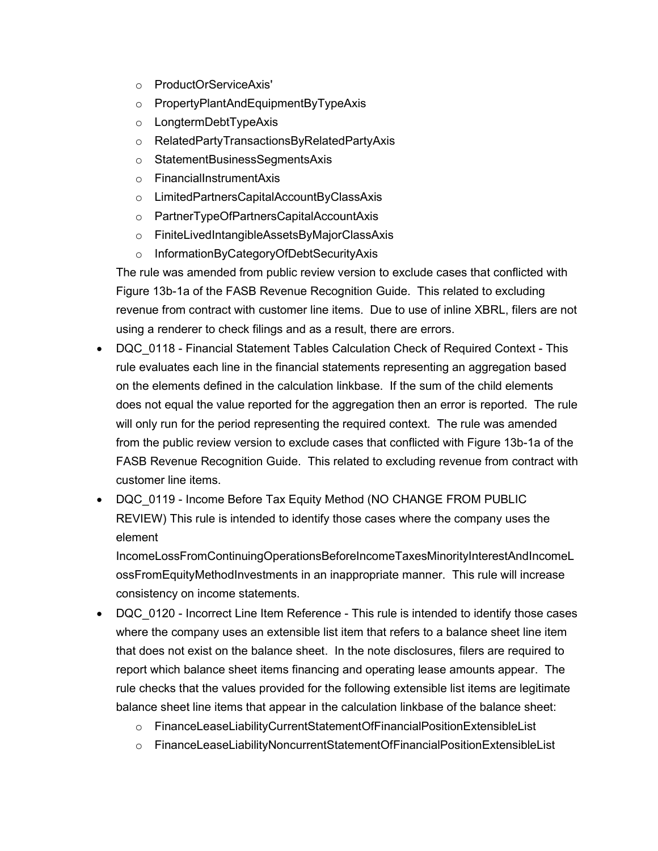- o ProductOrServiceAxis'
- o PropertyPlantAndEquipmentByTypeAxis
- o LongtermDebtTypeAxis
- o RelatedPartyTransactionsByRelatedPartyAxis
- o StatementBusinessSegmentsAxis
- o FinancialInstrumentAxis
- o LimitedPartnersCapitalAccountByClassAxis
- o PartnerTypeOfPartnersCapitalAccountAxis
- o FiniteLivedIntangibleAssetsByMajorClassAxis
- o InformationByCategoryOfDebtSecurityAxis

The rule was amended from public review version to exclude cases that conflicted with Figure 13b-1a of the FASB Revenue Recognition Guide. This related to excluding revenue from contract with customer line items. Due to use of inline XBRL, filers are not using a renderer to check filings and as a result, there are errors.

- DQC 0118 Financial Statement Tables Calculation Check of Required Context This rule evaluates each line in the financial statements representing an aggregation based on the elements defined in the calculation linkbase. If the sum of the child elements does not equal the value reported for the aggregation then an error is reported. The rule will only run for the period representing the required context. The rule was amended from the public review version to exclude cases that conflicted with Figure 13b-1a of the FASB Revenue Recognition Guide. This related to excluding revenue from contract with customer line items.
- DQC 0119 Income Before Tax Equity Method (NO CHANGE FROM PUBLIC REVIEW) This rule is intended to identify those cases where the company uses the element

IncomeLossFromContinuingOperationsBeforeIncomeTaxesMinorityInterestAndIncomeL ossFromEquityMethodInvestments in an inappropriate manner. This rule will increase consistency on income statements.

- DQC 0120 Incorrect Line Item Reference This rule is intended to identify those cases where the company uses an extensible list item that refers to a balance sheet line item that does not exist on the balance sheet. In the note disclosures, filers are required to report which balance sheet items financing and operating lease amounts appear. The rule checks that the values provided for the following extensible list items are legitimate balance sheet line items that appear in the calculation linkbase of the balance sheet:
	- o FinanceLeaseLiabilityCurrentStatementOfFinancialPositionExtensibleList
	- o FinanceLeaseLiabilityNoncurrentStatementOfFinancialPositionExtensibleList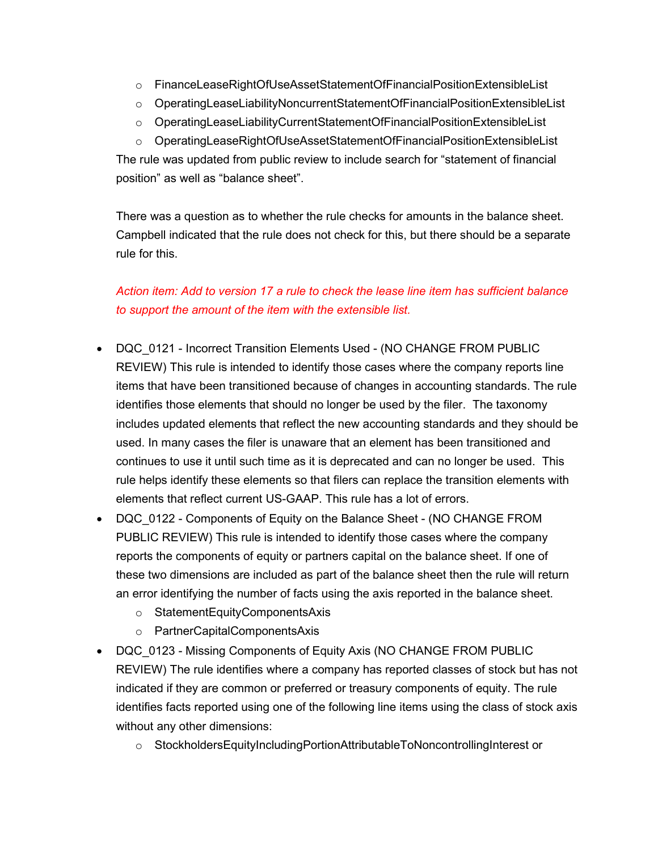- o FinanceLeaseRightOfUseAssetStatementOfFinancialPositionExtensibleList
- o OperatingLeaseLiabilityNoncurrentStatementOfFinancialPositionExtensibleList
- o OperatingLeaseLiabilityCurrentStatementOfFinancialPositionExtensibleList
- o OperatingLeaseRightOfUseAssetStatementOfFinancialPositionExtensibleList

The rule was updated from public review to include search for "statement of financial position" as well as "balance sheet".

There was a question as to whether the rule checks for amounts in the balance sheet. Campbell indicated that the rule does not check for this, but there should be a separate rule for this.

## Action item: Add to version 17 a rule to check the lease line item has sufficient balance to support the amount of the item with the extensible list.

- DQC 0121 Incorrect Transition Elements Used (NO CHANGE FROM PUBLIC REVIEW) This rule is intended to identify those cases where the company reports line items that have been transitioned because of changes in accounting standards. The rule identifies those elements that should no longer be used by the filer. The taxonomy includes updated elements that reflect the new accounting standards and they should be used. In many cases the filer is unaware that an element has been transitioned and continues to use it until such time as it is deprecated and can no longer be used. This rule helps identify these elements so that filers can replace the transition elements with elements that reflect current US-GAAP. This rule has a lot of errors.
- DQC 0122 Components of Equity on the Balance Sheet (NO CHANGE FROM PUBLIC REVIEW) This rule is intended to identify those cases where the company reports the components of equity or partners capital on the balance sheet. If one of these two dimensions are included as part of the balance sheet then the rule will return an error identifying the number of facts using the axis reported in the balance sheet.
	- o StatementEquityComponentsAxis
	- o PartnerCapitalComponentsAxis
- DQC 0123 Missing Components of Equity Axis (NO CHANGE FROM PUBLIC REVIEW) The rule identifies where a company has reported classes of stock but has not indicated if they are common or preferred or treasury components of equity. The rule identifies facts reported using one of the following line items using the class of stock axis without any other dimensions:
	- o StockholdersEquityIncludingPortionAttributableToNoncontrollingInterest or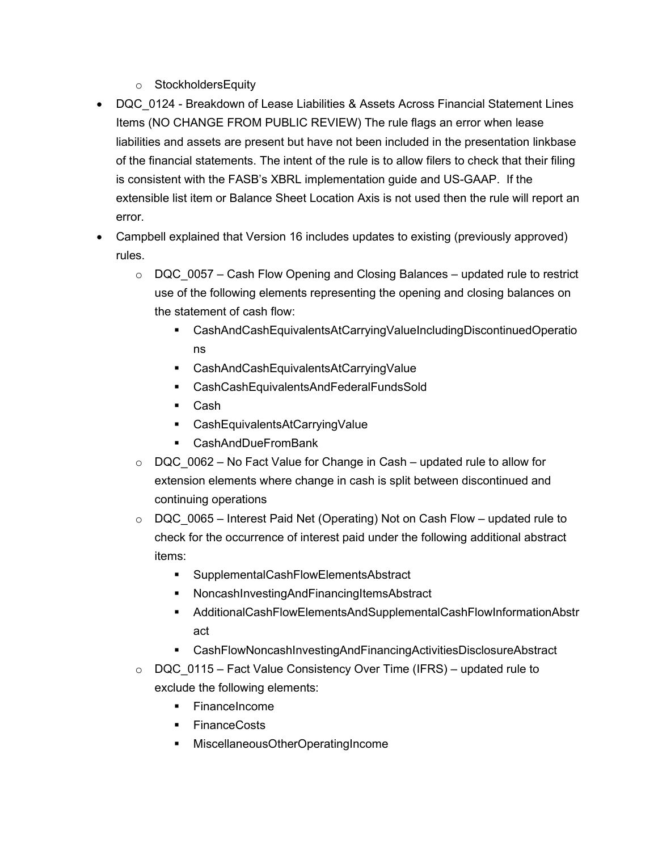- o StockholdersEquity
- DQC 0124 Breakdown of Lease Liabilities & Assets Across Financial Statement Lines Items (NO CHANGE FROM PUBLIC REVIEW) The rule flags an error when lease liabilities and assets are present but have not been included in the presentation linkbase of the financial statements. The intent of the rule is to allow filers to check that their filing is consistent with the FASB's XBRL implementation guide and US-GAAP. If the extensible list item or Balance Sheet Location Axis is not used then the rule will report an error.
- Campbell explained that Version 16 includes updates to existing (previously approved) rules.
	- $\circ$  DQC 0057 Cash Flow Opening and Closing Balances updated rule to restrict use of the following elements representing the opening and closing balances on the statement of cash flow:
		- CashAndCashEquivalentsAtCarryingValueIncludingDiscontinuedOperatio ns
		- CashAndCashEquivalentsAtCarryingValue
		- CashCashEquivalentsAndFederalFundsSold
		- Cash
		- CashEquivalentsAtCarryingValue
		- CashAndDueFromBank
	- $\circ$  DQC 0062 No Fact Value for Change in Cash updated rule to allow for extension elements where change in cash is split between discontinued and continuing operations
	- $\circ$  DQC 0065 Interest Paid Net (Operating) Not on Cash Flow updated rule to check for the occurrence of interest paid under the following additional abstract items:
		- SupplementalCashFlowElementsAbstract
		- NoncashInvestingAndFinancingItemsAbstract
		- AdditionalCashFlowElementsAndSupplementalCashFlowInformationAbstr act
		- CashFlowNoncashInvestingAndFinancingActivitiesDisclosureAbstract
	- $\circ$  DQC 0115 Fact Value Consistency Over Time (IFRS) updated rule to exclude the following elements:
		- **FinanceIncome**
		- **FinanceCosts**
		- MiscellaneousOtherOperatingIncome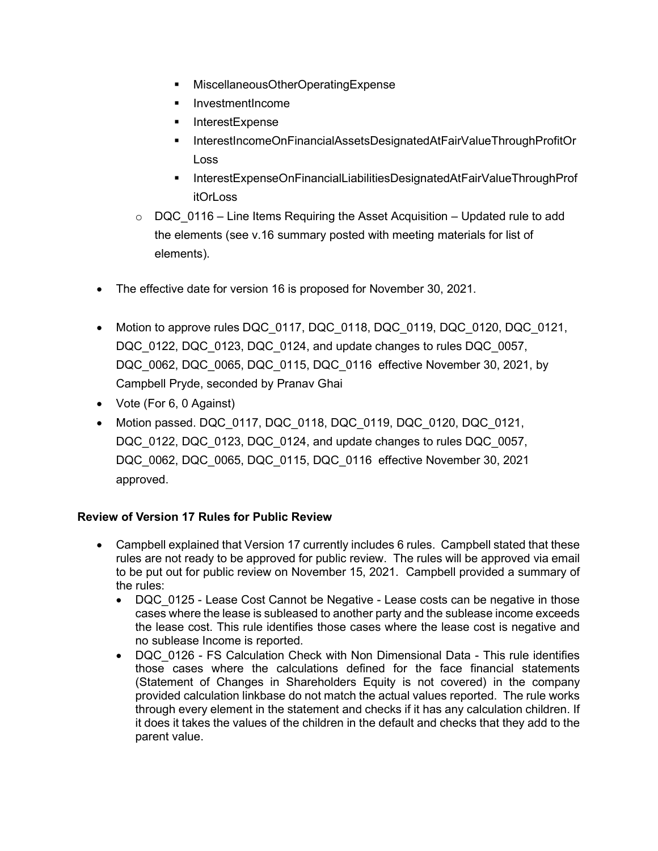- MiscellaneousOtherOperatingExpense
- **InvestmentIncome**
- InterestExpense
- InterestIncomeOnFinancialAssetsDesignatedAtFairValueThroughProfitOr Loss
- InterestExpenseOnFinancialLiabilitiesDesignatedAtFairValueThroughProf itOrLoss
- $\circ$  DQC 0116 Line Items Requiring the Asset Acquisition Updated rule to add the elements (see v.16 summary posted with meeting materials for list of elements).
- The effective date for version 16 is proposed for November 30, 2021.
- Motion to approve rules DQC\_0117, DQC\_0118, DQC\_0119, DQC\_0120, DQC\_0121, DQC\_0122, DQC\_0123, DQC\_0124, and update changes to rules DQC\_0057, DQC\_0062, DQC\_0065, DQC\_0115, DQC\_0116 effective November 30, 2021, by Campbell Pryde, seconded by Pranav Ghai
- Vote (For 6, 0 Against)
- Motion passed. DQC\_0117, DQC\_0118, DQC\_0119, DQC\_0120, DQC\_0121, DQC\_0122, DQC\_0123, DQC\_0124, and update changes to rules DQC\_0057, DQC\_0062, DQC\_0065, DQC\_0115, DQC\_0116 effective November 30, 2021 approved.

## Review of Version 17 Rules for Public Review

- Campbell explained that Version 17 currently includes 6 rules. Campbell stated that these rules are not ready to be approved for public review. The rules will be approved via email to be put out for public review on November 15, 2021. Campbell provided a summary of the rules:
	- DQC 0125 Lease Cost Cannot be Negative Lease costs can be negative in those cases where the lease is subleased to another party and the sublease income exceeds the lease cost. This rule identifies those cases where the lease cost is negative and no sublease Income is reported.
	- DQC 0126 FS Calculation Check with Non Dimensional Data This rule identifies those cases where the calculations defined for the face financial statements (Statement of Changes in Shareholders Equity is not covered) in the company provided calculation linkbase do not match the actual values reported. The rule works through every element in the statement and checks if it has any calculation children. If it does it takes the values of the children in the default and checks that they add to the parent value.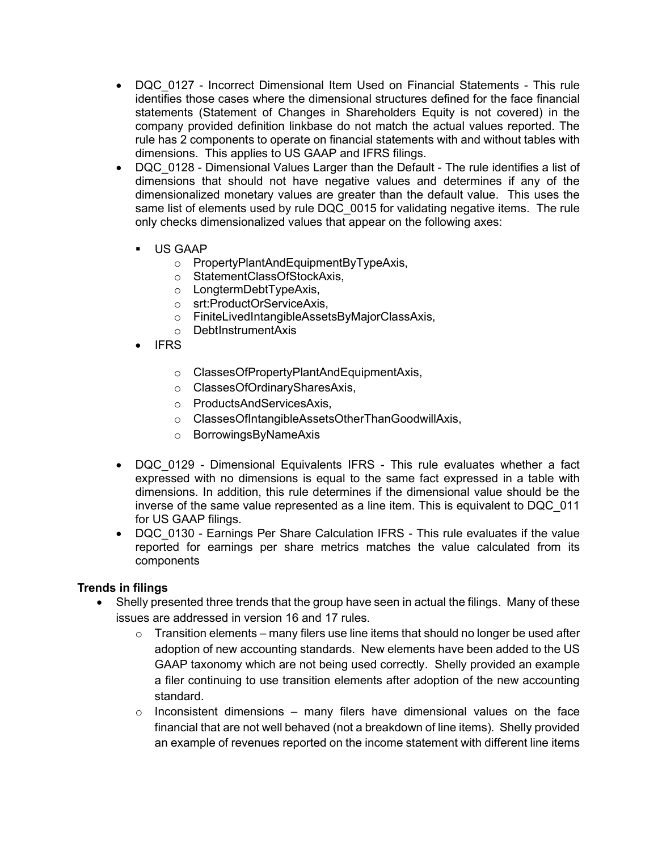- DQC 0127 Incorrect Dimensional Item Used on Financial Statements This rule identifies those cases where the dimensional structures defined for the face financial statements (Statement of Changes in Shareholders Equity is not covered) in the company provided definition linkbase do not match the actual values reported. The rule has 2 components to operate on financial statements with and without tables with dimensions. This applies to US GAAP and IFRS filings.
- DQC 0128 Dimensional Values Larger than the Default The rule identifies a list of dimensions that should not have negative values and determines if any of the dimensionalized monetary values are greater than the default value. This uses the same list of elements used by rule DQC 0015 for validating negative items. The rule only checks dimensionalized values that appear on the following axes:
	- US GAAP
		- o PropertyPlantAndEquipmentByTypeAxis,
		- o StatementClassOfStockAxis,
		- o LongtermDebtTypeAxis,
		- o srt:ProductOrServiceAxis,
		- o FiniteLivedIntangibleAssetsByMajorClassAxis,
		- o DebtInstrumentAxis
	- IFRS
		- o ClassesOfPropertyPlantAndEquipmentAxis,
		- o ClassesOfOrdinarySharesAxis,
		- o ProductsAndServicesAxis,
		- o ClassesOfIntangibleAssetsOtherThanGoodwillAxis,
		- o BorrowingsByNameAxis
- DQC 0129 Dimensional Equivalents IFRS This rule evaluates whether a fact expressed with no dimensions is equal to the same fact expressed in a table with dimensions. In addition, this rule determines if the dimensional value should be the inverse of the same value represented as a line item. This is equivalent to DQC\_011 for US GAAP filings.
- DQC 0130 Earnings Per Share Calculation IFRS This rule evaluates if the value reported for earnings per share metrics matches the value calculated from its components

#### Trends in filings

- Shelly presented three trends that the group have seen in actual the filings. Many of these issues are addressed in version 16 and 17 rules.
	- $\circ$  Transition elements many filers use line items that should no longer be used after adoption of new accounting standards. New elements have been added to the US GAAP taxonomy which are not being used correctly. Shelly provided an example a filer continuing to use transition elements after adoption of the new accounting standard.
	- $\circ$  Inconsistent dimensions many filers have dimensional values on the face financial that are not well behaved (not a breakdown of line items). Shelly provided an example of revenues reported on the income statement with different line items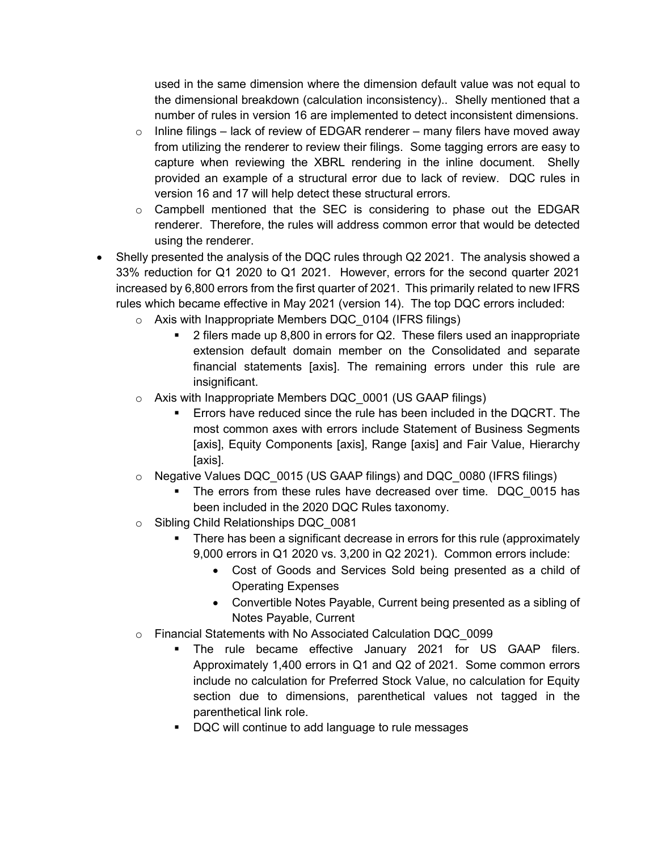used in the same dimension where the dimension default value was not equal to the dimensional breakdown (calculation inconsistency).. Shelly mentioned that a number of rules in version 16 are implemented to detect inconsistent dimensions.

- $\circ$  Inline filings lack of review of EDGAR renderer many filers have moved away from utilizing the renderer to review their filings. Some tagging errors are easy to capture when reviewing the XBRL rendering in the inline document. Shelly provided an example of a structural error due to lack of review. DQC rules in version 16 and 17 will help detect these structural errors.
- $\circ$  Campbell mentioned that the SEC is considering to phase out the EDGAR renderer. Therefore, the rules will address common error that would be detected using the renderer.
- Shelly presented the analysis of the DQC rules through Q2 2021. The analysis showed a 33% reduction for Q1 2020 to Q1 2021. However, errors for the second quarter 2021 increased by 6,800 errors from the first quarter of 2021. This primarily related to new IFRS rules which became effective in May 2021 (version 14). The top DQC errors included:
	- $\circ$  Axis with Inappropriate Members DQC 0104 (IFRS filings)
		- 2 filers made up 8,800 in errors for Q2. These filers used an inappropriate extension default domain member on the Consolidated and separate financial statements [axis]. The remaining errors under this rule are insignificant.
	- $\circ$  Axis with Inappropriate Members DQC 0001 (US GAAP filings)
		- Errors have reduced since the rule has been included in the DQCRT. The most common axes with errors include Statement of Business Segments [axis], Equity Components [axis], Range [axis] and Fair Value, Hierarchy [axis].
	- $\circ$  Negative Values DQC 0015 (US GAAP filings) and DQC 0080 (IFRS filings)
		- The errors from these rules have decreased over time. DQC\_0015 has been included in the 2020 DQC Rules taxonomy.
	- o Sibling Child Relationships DQC\_0081
		- There has been a significant decrease in errors for this rule (approximately 9,000 errors in Q1 2020 vs. 3,200 in Q2 2021). Common errors include:
			- Cost of Goods and Services Sold being presented as a child of Operating Expenses
			- Convertible Notes Payable, Current being presented as a sibling of Notes Payable, Current
	- o Financial Statements with No Associated Calculation DQC\_0099
		- The rule became effective January 2021 for US GAAP filers. Approximately 1,400 errors in Q1 and Q2 of 2021. Some common errors include no calculation for Preferred Stock Value, no calculation for Equity section due to dimensions, parenthetical values not tagged in the parenthetical link role.
		- DQC will continue to add language to rule messages